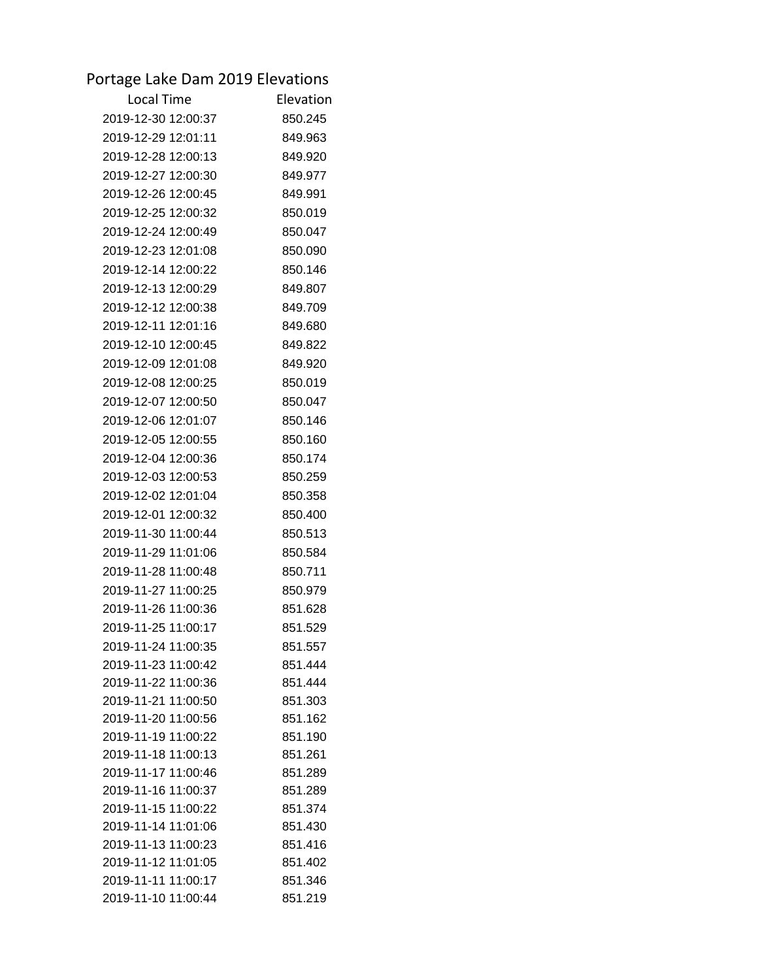## Portage Lake Dam 2019 Elevations

| Elevation          |
|--------------------|
| 850.245            |
| 849.963            |
| 849.920            |
| 849.977            |
| 849.991            |
| 850.019            |
| 850.047            |
| 850.090            |
| 850.146            |
| 849.807            |
| 849.709            |
| 849.680            |
| 849.822            |
| 849.920            |
| 850.019            |
| 850.047            |
| 850.146            |
| 850.160            |
| 850.174            |
| 850.259            |
| 850.358            |
| 850.400            |
| 850.513            |
| 850.584            |
| 850.711            |
| 850.979            |
| 851.628            |
| 851.529            |
| 851.557            |
| 851.444            |
| 851.444            |
| 851.303            |
| 851.162            |
| 851.190            |
| 851.261            |
| 851.289            |
| 851.289            |
| 851.374<br>851.430 |
| 851.416            |
| 851.402            |
| 851.346            |
| 851.219            |
|                    |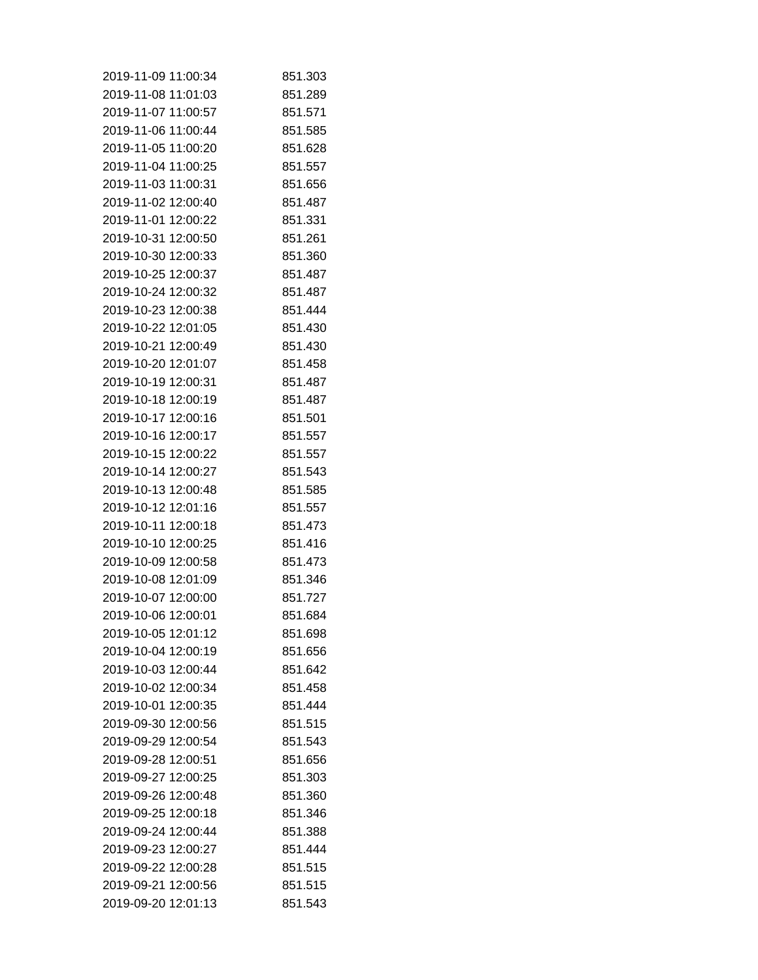| 2019-11-09 11:00:34 | 851.303 |
|---------------------|---------|
| 2019-11-08 11:01:03 | 851.289 |
| 2019-11-07 11:00:57 | 851.571 |
| 2019-11-06 11:00:44 | 851.585 |
| 2019-11-05 11:00:20 | 851.628 |
| 2019-11-04 11:00:25 | 851.557 |
| 2019-11-03 11:00:31 | 851.656 |
| 2019-11-02 12:00:40 | 851.487 |
| 2019-11-01 12:00:22 | 851.331 |
| 2019-10-31 12:00:50 | 851.261 |
| 2019-10-30 12:00:33 | 851.360 |
| 2019-10-25 12:00:37 | 851.487 |
| 2019-10-24 12:00:32 | 851.487 |
| 2019-10-23 12:00:38 | 851.444 |
| 2019-10-22 12:01:05 | 851.430 |
| 2019-10-21 12:00:49 | 851.430 |
| 2019-10-20 12:01:07 | 851.458 |
| 2019-10-19 12:00:31 | 851.487 |
| 2019-10-18 12:00:19 | 851.487 |
| 2019-10-17 12:00:16 | 851.501 |
| 2019-10-16 12:00:17 | 851.557 |
| 2019-10-15 12:00:22 | 851.557 |
| 2019-10-14 12:00:27 | 851.543 |
| 2019-10-13 12:00:48 | 851.585 |
| 2019-10-12 12:01:16 | 851.557 |
| 2019-10-11 12:00:18 | 851.473 |
| 2019-10-10 12:00:25 | 851.416 |
| 2019-10-09 12:00:58 | 851.473 |
| 2019-10-08 12:01:09 | 851.346 |
| 2019-10-07 12:00:00 | 851.727 |
| 2019-10-06 12:00:01 | 851.684 |
| 2019-10-05 12:01:12 | 851.698 |
| 2019-10-04 12:00:19 | 851.656 |
| 2019-10-03 12:00:44 | 851.642 |
| 2019-10-02 12:00:34 | 851.458 |
| 2019-10-01 12:00:35 | 851.444 |
| 2019-09-30 12:00:56 | 851.515 |
| 2019-09-29 12:00:54 | 851.543 |
| 2019-09-28 12:00:51 | 851.656 |
| 2019-09-27 12:00:25 | 851.303 |
| 2019-09-26 12:00:48 | 851.360 |
| 2019-09-25 12:00:18 | 851.346 |
| 2019-09-24 12:00:44 | 851.388 |
| 2019-09-23 12:00:27 | 851.444 |
| 2019-09-22 12:00:28 | 851.515 |
| 2019-09-21 12:00:56 | 851.515 |
| 2019-09-20 12:01:13 | 851.543 |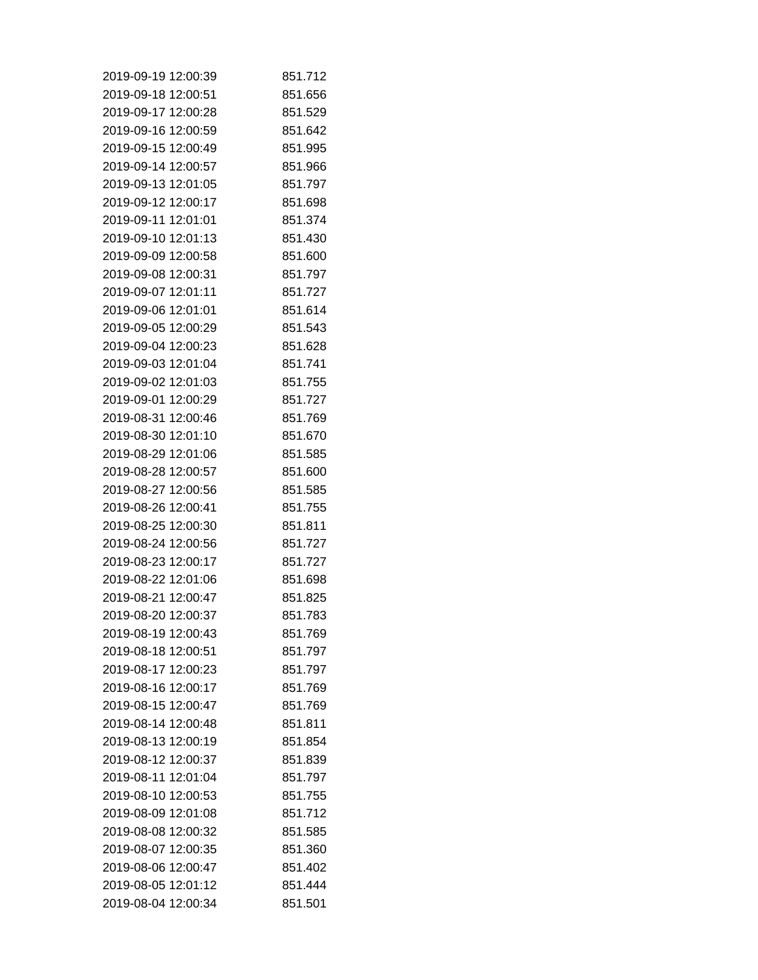| 2019-09-19 12:00:39 | 851.712 |
|---------------------|---------|
| 2019-09-18 12:00:51 | 851.656 |
| 2019-09-17 12:00:28 | 851.529 |
| 2019-09-16 12:00:59 | 851.642 |
| 2019-09-15 12:00:49 | 851.995 |
| 2019-09-14 12:00:57 | 851.966 |
| 2019-09-13 12:01:05 | 851.797 |
| 2019-09-12 12:00:17 | 851.698 |
| 2019-09-11 12:01:01 | 851.374 |
| 2019-09-10 12:01:13 | 851.430 |
| 2019-09-09 12:00:58 | 851.600 |
| 2019-09-08 12:00:31 | 851.797 |
| 2019-09-07 12:01:11 | 851.727 |
| 2019-09-06 12:01:01 | 851.614 |
| 2019-09-05 12:00:29 | 851.543 |
| 2019-09-04 12:00:23 | 851.628 |
| 2019-09-03 12:01:04 | 851.741 |
| 2019-09-02 12:01:03 | 851.755 |
| 2019-09-01 12:00:29 | 851.727 |
| 2019-08-31 12:00:46 | 851.769 |
| 2019-08-30 12:01:10 | 851.670 |
| 2019-08-29 12:01:06 | 851.585 |
| 2019-08-28 12:00:57 | 851.600 |
| 2019-08-27 12:00:56 | 851.585 |
| 2019-08-26 12:00:41 | 851.755 |
| 2019-08-25 12:00:30 | 851.811 |
| 2019-08-24 12:00:56 | 851.727 |
| 2019-08-23 12:00:17 | 851.727 |
| 2019-08-22 12:01:06 | 851.698 |
| 2019-08-21 12:00:47 | 851.825 |
| 2019-08-20 12:00:37 | 851.783 |
| 2019-08-19 12:00:43 | 851.769 |
| 2019-08-18 12:00:51 | 851.797 |
| 2019-08-17 12:00:23 | 851.797 |
| 2019-08-16 12:00:17 | 851.769 |
| 2019-08-15 12:00:47 | 851.769 |
| 2019-08-14 12:00:48 | 851.811 |
| 2019-08-13 12:00:19 | 851.854 |
| 2019-08-12 12:00:37 | 851.839 |
| 2019-08-11 12:01:04 | 851.797 |
| 2019-08-10 12:00:53 | 851.755 |
| 2019-08-09 12:01:08 | 851.712 |
| 2019-08-08 12:00:32 | 851.585 |
| 2019-08-07 12:00:35 | 851.360 |
| 2019-08-06 12:00:47 | 851.402 |
| 2019-08-05 12:01:12 | 851.444 |
| 2019-08-04 12:00:34 | 851.501 |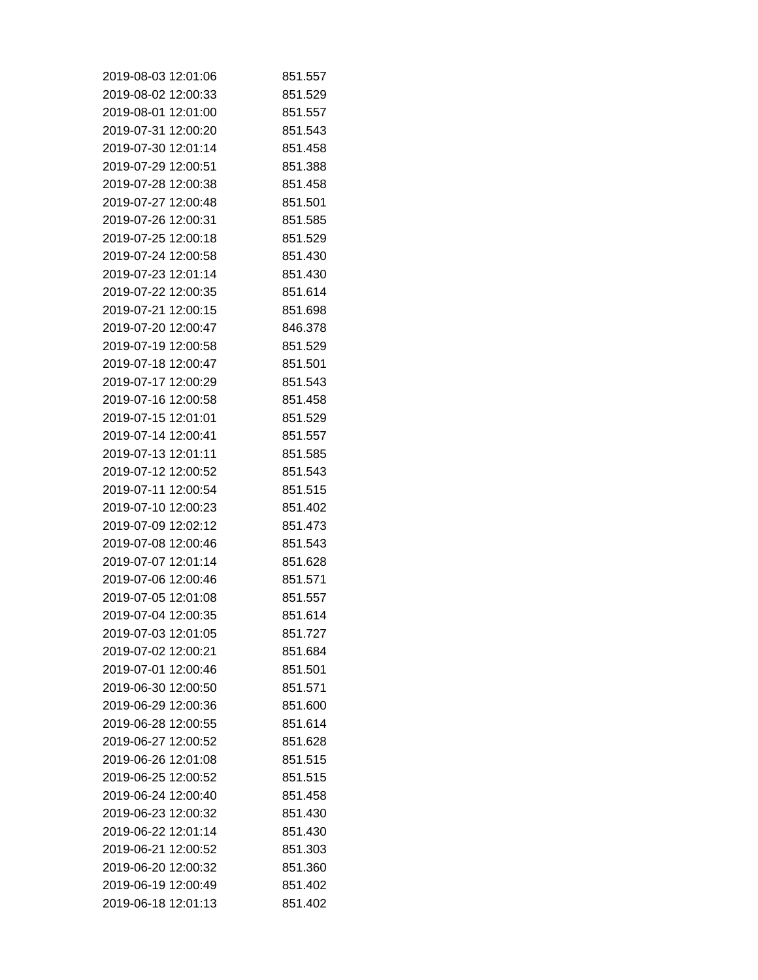| 2019-08-03 12:01:06 | 851.557 |
|---------------------|---------|
| 2019-08-02 12:00:33 | 851.529 |
| 2019-08-01 12:01:00 | 851.557 |
| 2019-07-31 12:00:20 | 851.543 |
| 2019-07-30 12:01:14 | 851.458 |
| 2019-07-29 12:00:51 | 851.388 |
| 2019-07-28 12:00:38 | 851.458 |
| 2019-07-27 12:00:48 | 851.501 |
| 2019-07-26 12:00:31 | 851.585 |
| 2019-07-25 12:00:18 | 851.529 |
| 2019-07-24 12:00:58 | 851.430 |
| 2019-07-23 12:01:14 | 851.430 |
| 2019-07-22 12:00:35 | 851.614 |
| 2019-07-21 12:00:15 | 851.698 |
| 2019-07-20 12:00:47 | 846.378 |
| 2019-07-19 12:00:58 | 851.529 |
| 2019-07-18 12:00:47 | 851.501 |
| 2019-07-17 12:00:29 | 851.543 |
| 2019-07-16 12:00:58 | 851.458 |
| 2019-07-15 12:01:01 | 851.529 |
| 2019-07-14 12:00:41 | 851.557 |
| 2019-07-13 12:01:11 | 851.585 |
| 2019-07-12 12:00:52 | 851.543 |
| 2019-07-11 12:00:54 | 851.515 |
| 2019-07-10 12:00:23 | 851.402 |
| 2019-07-09 12:02:12 | 851.473 |
| 2019-07-08 12:00:46 | 851.543 |
| 2019-07-07 12:01:14 | 851.628 |
| 2019-07-06 12:00:46 | 851.571 |
| 2019-07-05 12:01:08 | 851.557 |
| 2019-07-04 12:00:35 | 851.614 |
| 2019-07-03 12:01:05 | 851.727 |
| 2019-07-02 12:00:21 | 851.684 |
| 2019-07-01 12:00:46 | 851.501 |
| 2019-06-30 12:00:50 | 851.571 |
| 2019-06-29 12:00:36 | 851.600 |
| 2019-06-28 12:00:55 | 851.614 |
| 2019-06-27 12:00:52 | 851.628 |
| 2019-06-26 12:01:08 | 851.515 |
| 2019-06-25 12:00:52 | 851.515 |
| 2019-06-24 12:00:40 | 851.458 |
| 2019-06-23 12:00:32 | 851.430 |
| 2019-06-22 12:01:14 | 851.430 |
| 2019-06-21 12:00:52 | 851.303 |
| 2019-06-20 12:00:32 | 851.360 |
| 2019-06-19 12:00:49 | 851.402 |
| 2019-06-18 12:01:13 | 851.402 |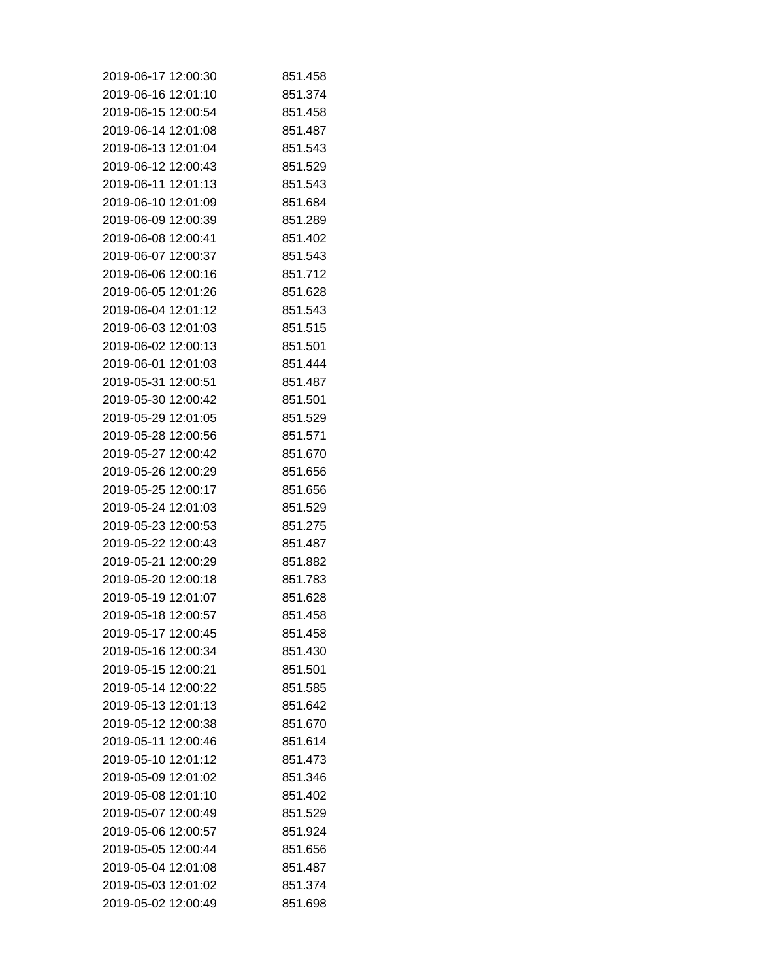| 2019-06-17 12:00:30 | 851.458 |
|---------------------|---------|
| 2019-06-16 12:01:10 | 851.374 |
| 2019-06-15 12:00:54 | 851.458 |
| 2019-06-14 12:01:08 | 851.487 |
| 2019-06-13 12:01:04 | 851.543 |
| 2019-06-12 12:00:43 | 851.529 |
| 2019-06-11 12:01:13 | 851.543 |
| 2019-06-10 12:01:09 | 851.684 |
| 2019-06-09 12:00:39 | 851.289 |
| 2019-06-08 12:00:41 | 851.402 |
| 2019-06-07 12:00:37 | 851.543 |
| 2019-06-06 12:00:16 | 851.712 |
| 2019-06-05 12:01:26 | 851.628 |
| 2019-06-04 12:01:12 | 851.543 |
| 2019-06-03 12:01:03 | 851.515 |
| 2019-06-02 12:00:13 | 851.501 |
| 2019-06-01 12:01:03 | 851.444 |
| 2019-05-31 12:00:51 | 851.487 |
| 2019-05-30 12:00:42 | 851.501 |
| 2019-05-29 12:01:05 | 851.529 |
| 2019-05-28 12:00:56 | 851.571 |
| 2019-05-27 12:00:42 | 851.670 |
| 2019-05-26 12:00:29 | 851.656 |
| 2019-05-25 12:00:17 | 851.656 |
| 2019-05-24 12:01:03 | 851.529 |
| 2019-05-23 12:00:53 | 851.275 |
| 2019-05-22 12:00:43 | 851.487 |
| 2019-05-21 12:00:29 | 851.882 |
| 2019-05-20 12:00:18 | 851.783 |
| 2019-05-19 12:01:07 | 851.628 |
| 2019-05-18 12:00:57 | 851.458 |
| 2019-05-17 12:00:45 | 851.458 |
| 2019-05-16 12:00:34 | 851.430 |
| 2019-05-15 12:00:21 | 851.501 |
| 2019-05-14 12:00:22 | 851.585 |
| 2019-05-13 12:01:13 | 851.642 |
| 2019-05-12 12:00:38 | 851.670 |
| 2019-05-11 12:00:46 | 851.614 |
| 2019-05-10 12:01:12 | 851.473 |
| 2019-05-09 12:01:02 | 851.346 |
| 2019-05-08 12:01:10 | 851.402 |
| 2019-05-07 12:00:49 | 851.529 |
| 2019-05-06 12:00:57 | 851.924 |
| 2019-05-05 12:00:44 | 851.656 |
| 2019-05-04 12:01:08 | 851.487 |
| 2019-05-03 12:01:02 | 851.374 |
| 2019-05-02 12:00:49 | 851.698 |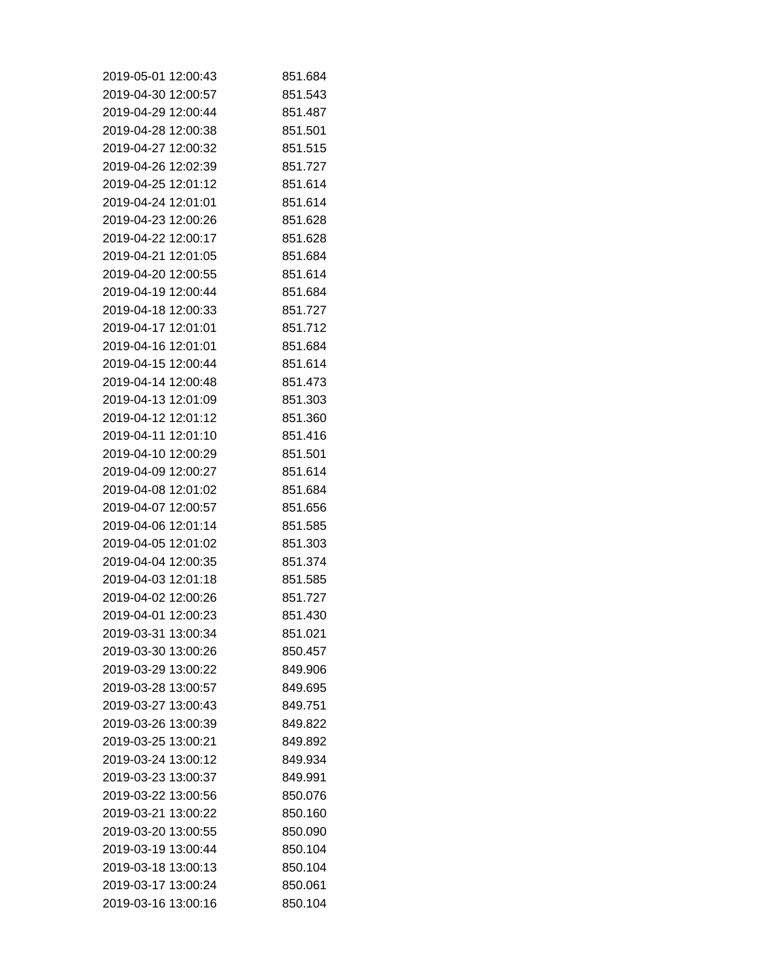| 2019-05-01 12:00:43 | 851.684 |
|---------------------|---------|
| 2019-04-30 12:00:57 | 851.543 |
| 2019-04-29 12:00:44 | 851.487 |
| 2019-04-28 12:00:38 | 851.501 |
| 2019-04-27 12:00:32 | 851.515 |
| 2019-04-26 12:02:39 | 851.727 |
| 2019-04-25 12:01:12 | 851.614 |
| 2019-04-24 12:01:01 | 851.614 |
| 2019-04-23 12:00:26 | 851.628 |
| 2019-04-22 12:00:17 | 851.628 |
| 2019-04-21 12:01:05 | 851.684 |
| 2019-04-20 12:00:55 | 851.614 |
| 2019-04-19 12:00:44 | 851.684 |
| 2019-04-18 12:00:33 | 851.727 |
| 2019-04-17 12:01:01 | 851.712 |
| 2019-04-16 12:01:01 | 851.684 |
| 2019-04-15 12:00:44 | 851.614 |
| 2019-04-14 12:00:48 | 851.473 |
| 2019-04-13 12:01:09 | 851.303 |
| 2019-04-12 12:01:12 | 851.360 |
| 2019-04-11 12:01:10 | 851.416 |
| 2019-04-10 12:00:29 | 851.501 |
| 2019-04-09 12:00:27 | 851.614 |
| 2019-04-08 12:01:02 | 851.684 |
| 2019-04-07 12:00:57 | 851.656 |
| 2019-04-06 12:01:14 | 851.585 |
| 2019-04-05 12:01:02 | 851.303 |
| 2019-04-04 12:00:35 | 851.374 |
| 2019-04-03 12:01:18 | 851.585 |
| 2019-04-02 12:00:26 | 851.727 |
| 2019-04-01 12:00:23 | 851.430 |
| 2019-03-31 13:00:34 | 851.021 |
| 2019-03-30 13:00:26 | 850.457 |
| 2019-03-29 13:00:22 | 849.906 |
| 2019-03-28 13:00:57 | 849.695 |
| 2019-03-27 13:00:43 | 849.751 |
| 2019-03-26 13:00:39 | 849.822 |
| 2019-03-25 13:00:21 | 849.892 |
| 2019-03-24 13:00:12 | 849.934 |
| 2019-03-23 13:00:37 | 849.991 |
| 2019-03-22 13:00:56 | 850.076 |
| 2019-03-21 13:00:22 | 850.160 |
| 2019-03-20 13:00:55 | 850.090 |
| 2019-03-19 13:00:44 | 850.104 |
| 2019-03-18 13:00:13 | 850.104 |
| 2019-03-17 13:00:24 | 850.061 |
| 2019-03-16 13:00:16 | 850.104 |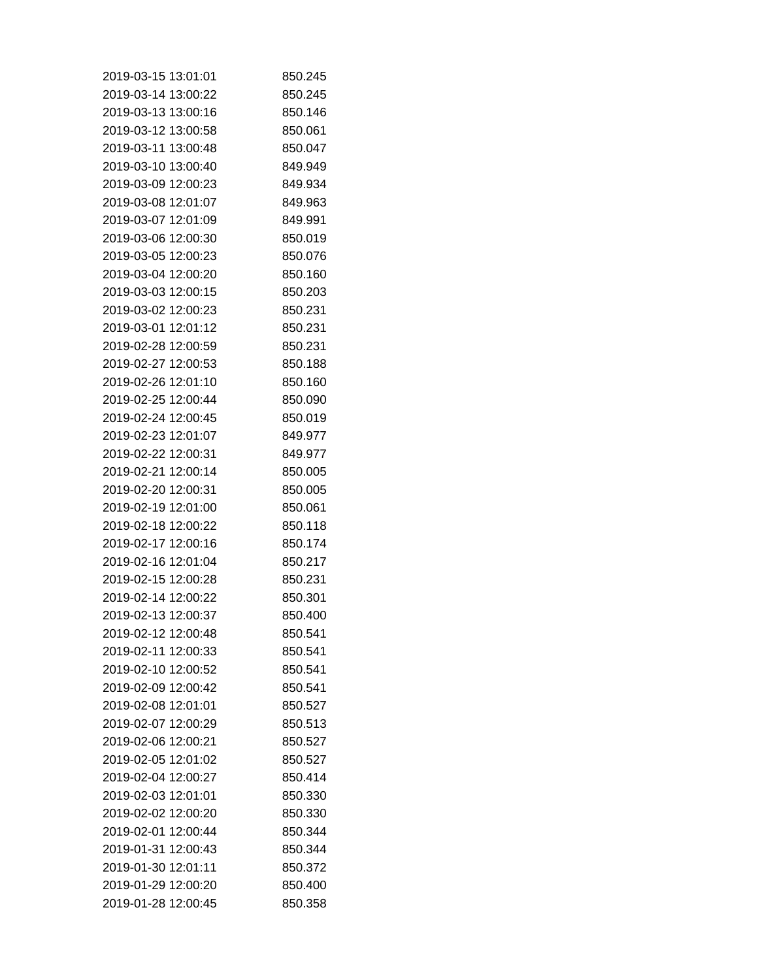| 2019-03-15 13:01:01 | 850.245 |
|---------------------|---------|
| 2019-03-14 13:00:22 | 850.245 |
| 2019-03-13 13:00:16 | 850.146 |
| 2019-03-12 13:00:58 | 850.061 |
| 2019-03-11 13:00:48 | 850.047 |
| 2019-03-10 13:00:40 | 849.949 |
| 2019-03-09 12:00:23 | 849.934 |
| 2019-03-08 12:01:07 | 849.963 |
| 2019-03-07 12:01:09 | 849.991 |
| 2019-03-06 12:00:30 | 850.019 |
| 2019-03-05 12:00:23 | 850.076 |
| 2019-03-04 12:00:20 | 850.160 |
| 2019-03-03 12:00:15 | 850.203 |
| 2019-03-02 12:00:23 | 850.231 |
| 2019-03-01 12:01:12 | 850.231 |
| 2019-02-28 12:00:59 | 850.231 |
| 2019-02-27 12:00:53 | 850.188 |
| 2019-02-26 12:01:10 | 850.160 |
| 2019-02-25 12:00:44 | 850.090 |
| 2019-02-24 12:00:45 | 850.019 |
| 2019-02-23 12:01:07 | 849.977 |
| 2019-02-22 12:00:31 | 849.977 |
| 2019-02-21 12:00:14 | 850.005 |
| 2019-02-20 12:00:31 | 850.005 |
| 2019-02-19 12:01:00 | 850.061 |
| 2019-02-18 12:00:22 | 850.118 |
| 2019-02-17 12:00:16 | 850.174 |
| 2019-02-16 12:01:04 | 850.217 |
| 2019-02-15 12:00:28 | 850.231 |
| 2019-02-14 12:00:22 | 850.301 |
| 2019-02-13 12:00:37 | 850.400 |
| 2019-02-12 12:00:48 | 850.541 |
| 2019-02-11 12:00:33 | 850.541 |
| 2019-02-10 12:00:52 | 850.541 |
| 2019-02-09 12:00:42 | 850.541 |
| 2019-02-08 12:01:01 | 850.527 |
| 2019-02-07 12:00:29 | 850.513 |
| 2019-02-06 12:00:21 | 850.527 |
| 2019-02-05 12:01:02 | 850.527 |
| 2019-02-04 12:00:27 | 850.414 |
| 2019-02-03 12:01:01 | 850.330 |
| 2019-02-02 12:00:20 | 850.330 |
| 2019-02-01 12:00:44 | 850.344 |
| 2019-01-31 12:00:43 | 850.344 |
| 2019-01-30 12:01:11 | 850.372 |
| 2019-01-29 12:00:20 | 850.400 |
| 2019-01-28 12:00:45 | 850.358 |